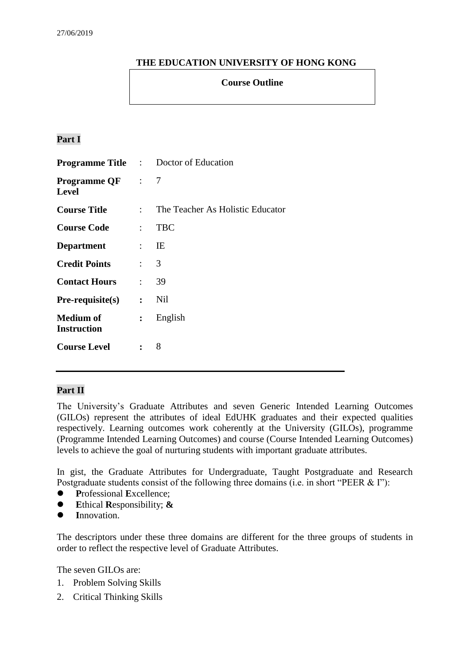# **THE EDUCATION UNIVERSITY OF HONG KONG**

#### **Course Outline**

# **Part I**

|                                         |                           | <b>Programme Title :</b> Doctor of Education |  |  |
|-----------------------------------------|---------------------------|----------------------------------------------|--|--|
| <b>Programme QF</b> : 7<br><b>Level</b> |                           |                                              |  |  |
| <b>Course Title</b>                     | $\mathcal{L}$             | The Teacher As Holistic Educator             |  |  |
| <b>Course Code</b>                      | $\mathcal{L}$             | <b>TBC</b>                                   |  |  |
| <b>Department</b><br>$\sim 10^{11}$ MeV |                           | IE                                           |  |  |
| <b>Credit Points</b>                    | $\mathbf{r}$              | 3                                            |  |  |
| <b>Contact Hours</b>                    | $\mathbb{R}^{\mathbb{Z}}$ | 39                                           |  |  |
| $Pre-requisite(s)$                      | $\ddot{\cdot}$            | Nil                                          |  |  |
| <b>Medium of</b><br><b>Instruction</b>  | $\ddot{\cdot}$            | English                                      |  |  |
| <b>Course Level</b>                     | $\ddot{\cdot}$            | 8                                            |  |  |

# **Part II**

The University's Graduate Attributes and seven Generic Intended Learning Outcomes (GILOs) represent the attributes of ideal EdUHK graduates and their expected qualities respectively. Learning outcomes work coherently at the University (GILOs), programme (Programme Intended Learning Outcomes) and course (Course Intended Learning Outcomes) levels to achieve the goal of nurturing students with important graduate attributes.

In gist, the Graduate Attributes for Undergraduate, Taught Postgraduate and Research Postgraduate students consist of the following three domains (i.e. in short "PEER & I"):

- **P**rofessional **E**xcellence;
- **E**thical **R**esponsibility; **&**
- **I**nnovation.

The descriptors under these three domains are different for the three groups of students in order to reflect the respective level of Graduate Attributes.

The seven GILOs are:

- 1. Problem Solving Skills
- 2. Critical Thinking Skills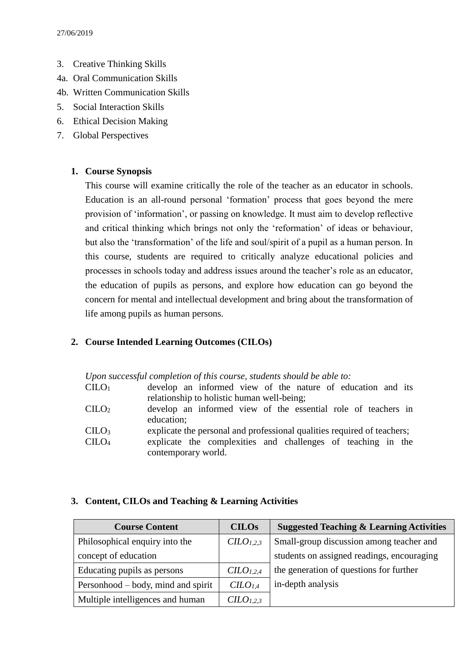- 3. Creative Thinking Skills
- 4a. Oral Communication Skills
- 4b. Written Communication Skills
- 5. Social Interaction Skills
- 6. Ethical Decision Making
- 7. Global Perspectives

#### **1. Course Synopsis**

This course will examine critically the role of the teacher as an educator in schools. Education is an all-round personal 'formation' process that goes beyond the mere provision of 'information', or passing on knowledge. It must aim to develop reflective and critical thinking which brings not only the 'reformation' of ideas or behaviour, but also the 'transformation' of the life and soul/spirit of a pupil as a human person. In this course, students are required to critically analyze educational policies and processes in schools today and address issues around the teacher's role as an educator, the education of pupils as persons, and explore how education can go beyond the concern for mental and intellectual development and bring about the transformation of life among pupils as human persons.

# **2. Course Intended Learning Outcomes (CILOs)**

*Upon successful completion of this course, students should be able to:*

| $C_\mathrm{ILO_1}$                         |  |  | develop an informed view of the nature of education and its   |  |  |  |  |  |  |  |  |
|--------------------------------------------|--|--|---------------------------------------------------------------|--|--|--|--|--|--|--|--|
| relationship to holistic human well-being; |  |  |                                                               |  |  |  |  |  |  |  |  |
| $\text{CILO}_2$                            |  |  | develop an informed view of the essential role of teachers in |  |  |  |  |  |  |  |  |

- education:
- $\text{CHO}_3$  explicate the personal and professional qualities required of teachers;
- CILO<sup>4</sup> explicate the complexities and challenges of teaching in the contemporary world.

#### **3. Content, CILOs and Teaching & Learning Activities**

| <b>Course Content</b>              | <b>CILOs</b>                      | <b>Suggested Teaching &amp; Learning Activities</b> |  |  |
|------------------------------------|-----------------------------------|-----------------------------------------------------|--|--|
| Philosophical enquiry into the     | $CLO_{1,2,3}$                     | Small-group discussion among teacher and            |  |  |
| concept of education               |                                   | students on assigned readings, encouraging          |  |  |
| Educating pupils as persons        | CILO <sub>1.2.4</sub>             | the generation of questions for further             |  |  |
| Personhood – body, mind and spirit | CILO <sub>1,4</sub>               | in-depth analysis                                   |  |  |
| Multiple intelligences and human   | C <sub>L</sub> O <sub>L,2,3</sub> |                                                     |  |  |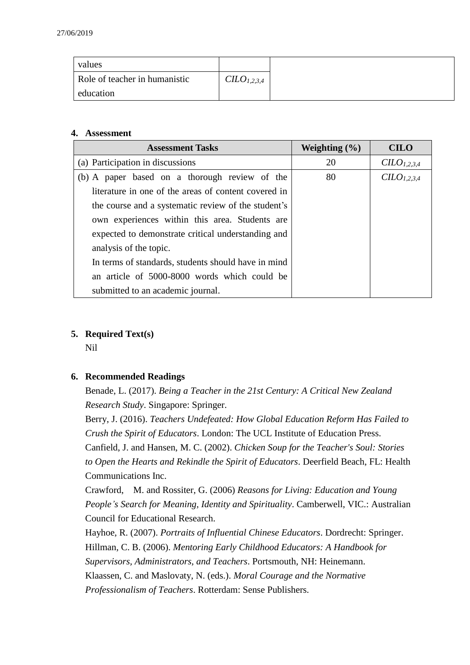| values                        |                         |
|-------------------------------|-------------------------|
| Role of teacher in humanistic | CILO <sub>1,2,3,4</sub> |
| education                     |                         |

#### **4. Assessment**

| <b>Assessment Tasks</b>                              | Weighting $(\% )$ | <b>CILO</b>            |
|------------------------------------------------------|-------------------|------------------------|
| (a) Participation in discussions                     | 20                | CLO <sub>1,2,3,4</sub> |
| (b) A paper based on a thorough review of the        | 80                | CLO <sub>1,2,3,4</sub> |
| literature in one of the areas of content covered in |                   |                        |
| the course and a systematic review of the student's  |                   |                        |
| own experiences within this area. Students are       |                   |                        |
| expected to demonstrate critical understanding and   |                   |                        |
| analysis of the topic.                               |                   |                        |
| In terms of standards, students should have in mind  |                   |                        |
| an article of 5000-8000 words which could be         |                   |                        |
| submitted to an academic journal.                    |                   |                        |

# **5. Required Text(s)**

Nil

# **6. Recommended Readings**

Benade, L. (2017). *Being a Teacher in the 21st Century: A Critical New Zealand Research Study*. Singapore: Springer.

Berry, J. (2016). *Teachers Undefeated: How Global Education Reform Has Failed to Crush the Spirit of Educators*. London: The UCL Institute of Education Press. Canfield, J. and Hansen, M. C. (2002). *Chicken Soup for the Teacher's Soul: Stories to Open the Hearts and Rekindle the Spirit of Educators*. Deerfield Beach, FL: Health Communications Inc.

Crawford, M. and Rossiter, G. (2006) *Reasons for Living: Education and Young People's Search for Meaning, Identity and Spirituality*. Camberwell, VIC.: Australian Council for Educational Research.

Hayhoe, R. (2007). *Portraits of Influential Chinese Educators*. Dordrecht: Springer. Hillman, C. B. (2006). *Mentoring Early Childhood Educators: A Handbook for Supervisors, Administrators, and Teachers*. Portsmouth, NH: Heinemann.

Klaassen, C. and Maslovaty, N. (eds.). *Moral Courage and the Normative* 

*Professionalism of Teachers*. Rotterdam: Sense Publishers.